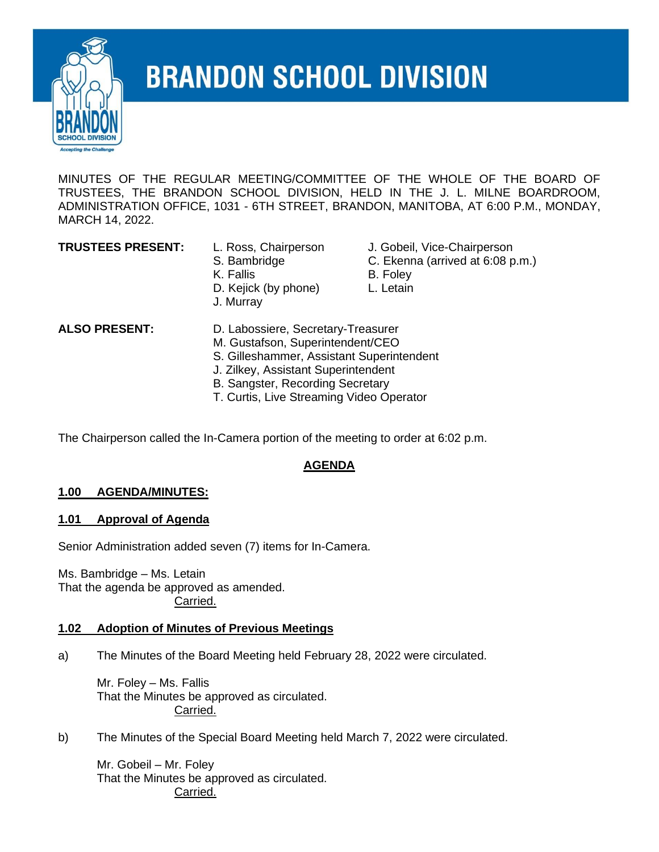

# **BRANDON SCHOOL DIVISION**

MINUTES OF THE REGULAR MEETING/COMMITTEE OF THE WHOLE OF THE BOARD OF TRUSTEES, THE BRANDON SCHOOL DIVISION, HELD IN THE J. L. MILNE BOARDROOM, ADMINISTRATION OFFICE, 1031 - 6TH STREET, BRANDON, MANITOBA, AT 6:00 P.M., MONDAY, MARCH 14, 2022.

- K. Fallis B. Foley D. Kejick (by phone) L. Letain J. Murray
- **TRUSTEES PRESENT:** L. Ross, Chairperson J. Gobeil, Vice-Chairperson
	- S. Bambridge C. Ekenna (arrived at 6:08 p.m.)
		-
		-

- **ALSO PRESENT:** D. Labossiere, Secretary-Treasurer
	- M. Gustafson, Superintendent/CEO
	- S. Gilleshammer, Assistant Superintendent
	- J. Zilkey, Assistant Superintendent
	- B. Sangster, Recording Secretary
	- T. Curtis, Live Streaming Video Operator

The Chairperson called the In-Camera portion of the meeting to order at 6:02 p.m.

#### **AGENDA**

#### **1.00 AGENDA/MINUTES:**

#### **1.01 Approval of Agenda**

Senior Administration added seven (7) items for In-Camera.

Ms. Bambridge – Ms. Letain That the agenda be approved as amended. Carried.

#### **1.02 Adoption of Minutes of Previous Meetings**

a) The Minutes of the Board Meeting held February 28, 2022 were circulated.

Mr. Foley – Ms. Fallis That the Minutes be approved as circulated. Carried.

b) The Minutes of the Special Board Meeting held March 7, 2022 were circulated.

Mr. Gobeil – Mr. Foley That the Minutes be approved as circulated. Carried.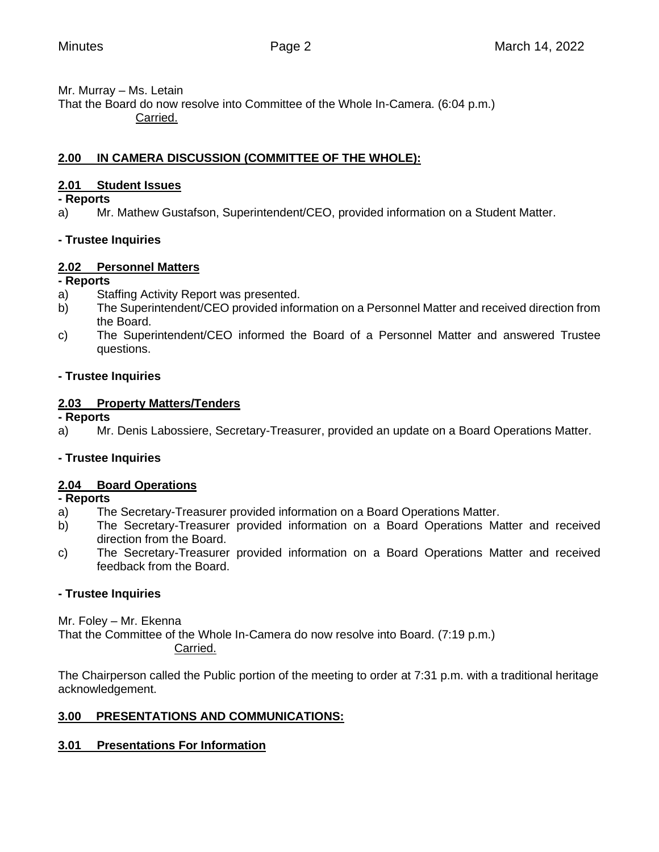Mr. Murray – Ms. Letain

That the Board do now resolve into Committee of the Whole In-Camera. (6:04 p.m.) Carried.

## **2.00 IN CAMERA DISCUSSION (COMMITTEE OF THE WHOLE):**

## **2.01 Student Issues**

**- Reports**

a) Mr. Mathew Gustafson, Superintendent/CEO, provided information on a Student Matter.

# **- Trustee Inquiries**

# **2.02 Personnel Matters**

## **- Reports**

- a) Staffing Activity Report was presented.
- b) The Superintendent/CEO provided information on a Personnel Matter and received direction from the Board.
- c) The Superintendent/CEO informed the Board of a Personnel Matter and answered Trustee questions.

# **- Trustee Inquiries**

# **2.03 Property Matters/Tenders**

**- Reports**

a) Mr. Denis Labossiere, Secretary-Treasurer, provided an update on a Board Operations Matter.

# **- Trustee Inquiries**

# **2.04 Board Operations**

## **- Reports**

- a) The Secretary-Treasurer provided information on a Board Operations Matter.
- b) The Secretary-Treasurer provided information on a Board Operations Matter and received direction from the Board.
- c) The Secretary-Treasurer provided information on a Board Operations Matter and received feedback from the Board.

# **- Trustee Inquiries**

Mr. Foley – Mr. Ekenna

That the Committee of the Whole In-Camera do now resolve into Board. (7:19 p.m.) Carried.

The Chairperson called the Public portion of the meeting to order at 7:31 p.m. with a traditional heritage acknowledgement.

# **3.00 PRESENTATIONS AND COMMUNICATIONS:**

## **3.01 Presentations For Information**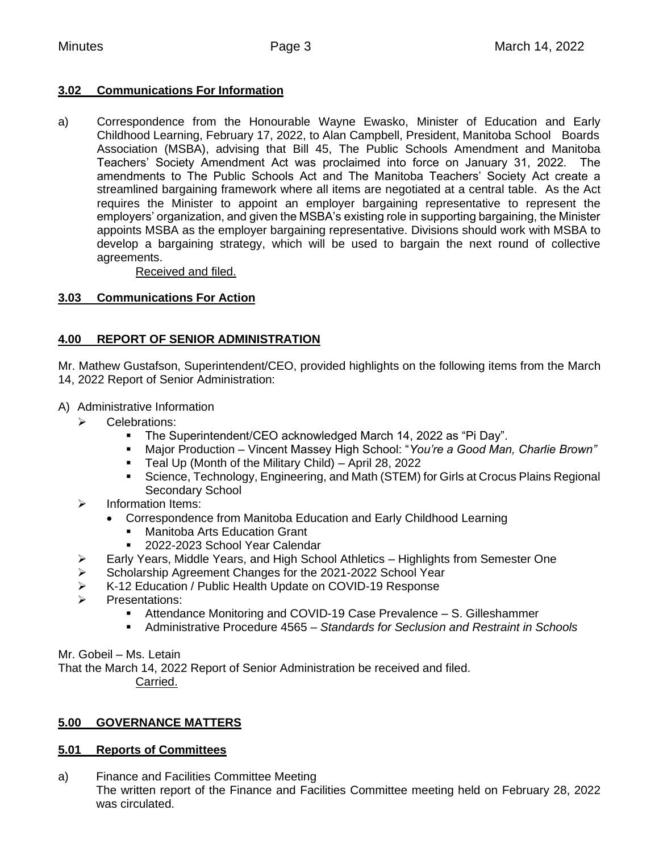#### **3.02 Communications For Information**

a) Correspondence from the Honourable Wayne Ewasko, Minister of Education and Early Childhood Learning, February 17, 2022, to Alan Campbell, President, Manitoba School Boards Association (MSBA), advising that Bill 45, The Public Schools Amendment and Manitoba Teachers' Society Amendment Act was proclaimed into force on January 31, 2022. The amendments to The Public Schools Act and The Manitoba Teachers' Society Act create a streamlined bargaining framework where all items are negotiated at a central table. As the Act requires the Minister to appoint an employer bargaining representative to represent the employers' organization, and given the MSBA's existing role in supporting bargaining, the Minister appoints MSBA as the employer bargaining representative. Divisions should work with MSBA to develop a bargaining strategy, which will be used to bargain the next round of collective agreements.

Received and filed.

#### **3.03 Communications For Action**

## **4.00 REPORT OF SENIOR ADMINISTRATION**

Mr. Mathew Gustafson, Superintendent/CEO, provided highlights on the following items from the March 14, 2022 Report of Senior Administration:

- A) Administrative Information
	- ➢ Celebrations:
		- The Superintendent/CEO acknowledged March 14, 2022 as "Pi Day".
		- Major Production Vincent Massey High School: "You're a Good Man, Charlie Brown"
		- Teal Up (Month of the Military Child) April 28, 2022
		- **•** Science, Technology, Engineering, and Math (STEM) for Girls at Crocus Plains Regional Secondary School
	- ➢ Information Items:
		- Correspondence from Manitoba Education and Early Childhood Learning
			- **Manitoba Arts Education Grant**
			- 2022-2023 School Year Calendar
	- ➢ Early Years, Middle Years, and High School Athletics Highlights from Semester One
	- ➢ Scholarship Agreement Changes for the 2021-2022 School Year
	- ➢ K-12 Education / Public Health Update on COVID-19 Response
	- ➢ Presentations:
		- Attendance Monitoring and COVID-19 Case Prevalence S. Gilleshammer
		- Administrative Procedure 4565 *Standards for Seclusion and Restraint in Schools*

Mr. Gobeil – Ms. Letain

That the March 14, 2022 Report of Senior Administration be received and filed. Carried.

## **5.00 GOVERNANCE MATTERS**

#### **5.01 Reports of Committees**

a) Finance and Facilities Committee Meeting The written report of the Finance and Facilities Committee meeting held on February 28, 2022 was circulated.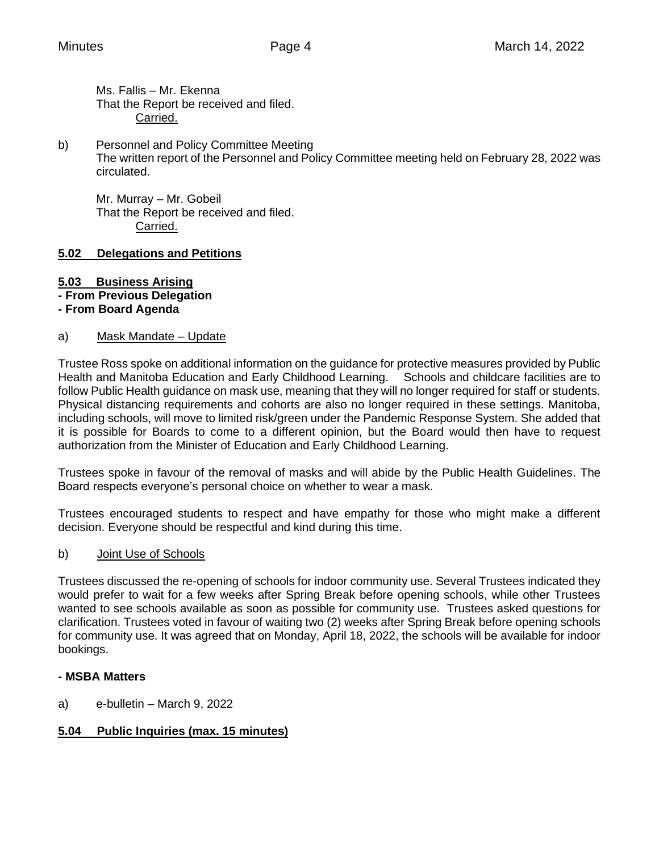Ms. Fallis – Mr. Ekenna That the Report be received and filed. Carried.

b) Personnel and Policy Committee Meeting The written report of the Personnel and Policy Committee meeting held on February 28, 2022 was circulated.

Mr. Murray – Mr. Gobeil That the Report be received and filed. Carried.

## **5.02 Delegations and Petitions**

#### **5.03 Business Arising**

**- From Previous Delegation**

#### **- From Board Agenda**

#### a) Mask Mandate – Update

Trustee Ross spoke on additional information on the guidance for protective measures provided by Public Health and Manitoba Education and Early Childhood Learning. Schools and childcare facilities are to follow Public Health guidance on mask use, meaning that they will no longer required for staff or students. Physical distancing requirements and cohorts are also no longer required in these settings. Manitoba, including schools, will move to limited risk/green under the Pandemic Response System. She added that it is possible for Boards to come to a different opinion, but the Board would then have to request authorization from the Minister of Education and Early Childhood Learning.

Trustees spoke in favour of the removal of masks and will abide by the Public Health Guidelines. The Board respects everyone's personal choice on whether to wear a mask.

Trustees encouraged students to respect and have empathy for those who might make a different decision. Everyone should be respectful and kind during this time.

#### b) Joint Use of Schools

Trustees discussed the re-opening of schools for indoor community use. Several Trustees indicated they would prefer to wait for a few weeks after Spring Break before opening schools, while other Trustees wanted to see schools available as soon as possible for community use. Trustees asked questions for clarification. Trustees voted in favour of waiting two (2) weeks after Spring Break before opening schools for community use. It was agreed that on Monday, April 18, 2022, the schools will be available for indoor bookings.

#### **- MSBA Matters**

a) e-bulletin – March 9, 2022

# **5.04 Public Inquiries (max. 15 minutes)**